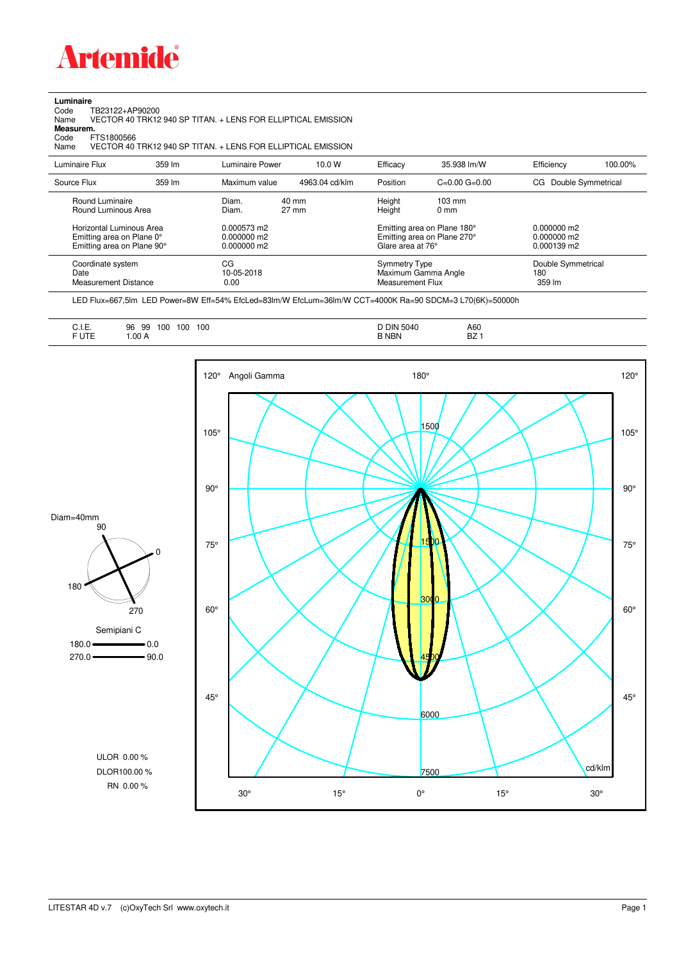

## **Luminaire**<br>Code T<br>Name \

Code TB23122+AP90200 Name VECTOR 40 TRK12 940 SP TITAN. + LENS FOR ELLIPTICAL EMISSION **Measurem.**

Code FTS1800566<br>Name VECTOR 40 Name VECTOR 40 TRK12 940 SP TITAN. + LENS FOR ELLIPTICAL EMISSION

| Luminaire Flux                                                                                                                | 359 lm | Luminaire Power                                                 | 10.0 W                   | Efficacy                                 | 35.938 lm/W                                                                                      | Efficiency                                      | 100.00% |
|-------------------------------------------------------------------------------------------------------------------------------|--------|-----------------------------------------------------------------|--------------------------|------------------------------------------|--------------------------------------------------------------------------------------------------|-------------------------------------------------|---------|
| Source Flux                                                                                                                   | 359 lm | Maximum value                                                   | 4963.04 cd/klm           | Position                                 | $C=0.00$ $G=0.00$                                                                                | CG Double Symmetrical                           |         |
| Round Luminaire<br>Round Luminous Area<br>Horizontal Luminous Area<br>Emitting area on Plane 0°<br>Emitting area on Plane 90° |        | Diam.<br>Diam.<br>0.000573 m2<br>$0.000000$ m2<br>$0.000000$ m2 | 40 mm<br>$27 \text{ mm}$ | Height<br>Height<br>Glare area at 76°    | $103 \text{ mm}$<br>$0 \text{ mm}$<br>Emitting area on Plane 180°<br>Emitting area on Plane 270° | $0.000000$ m2<br>$0.000000$ m2<br>$0.000139$ m2 |         |
| Coordinate system<br>Date<br><b>Measurement Distance</b>                                                                      |        | CG<br>10-05-2018<br>0.00                                        |                          | <b>Symmetry Type</b><br>Measurement Flux | Maximum Gamma Angle                                                                              | Double Symmetrical<br>180<br>359 lm             |         |

LED Flux=667,5lm LED Power=8W Eff=54% EfcLed=83lm/W EfcLum=36lm/W CCT=4000K Ra=90 SDCM=3 L70(6K)=50000h

| י DIN ר<br>100<br>96<br>100<br>100<br>99<br>◡…<br><b>B NBN</b><br><b>FUTE</b><br>1.00 A<br>______<br>$\sim$ $\sim$ $\sim$ | A60<br>5040<br><b>BZ</b> |
|---------------------------------------------------------------------------------------------------------------------------|--------------------------|
|---------------------------------------------------------------------------------------------------------------------------|--------------------------|